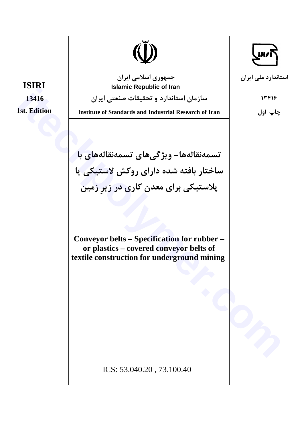

جمهوری اسلامی ایران **Islamic Republic of Iran** 

سازمان استاندارد و تحقیقات صنعتی ایران

**Institute of Standards and Industrial Research of Iran** 

تسمەنقالەھا- ویژگیھای تسمەنقالەھای با ساختار بافته شده دارای روکش لاستیکی یا پلاستیکی برای معدن کاری در زیرِ زمین

Conveyor belts - Specification for rubber or plastics - covered conveyor belts of textile construction for underground mining

ICS: 53.040.20, 73.100.40

**ISIRI** 13416 **1st. Edition** 

استاندار د ملي ايران

13918

چاپ اول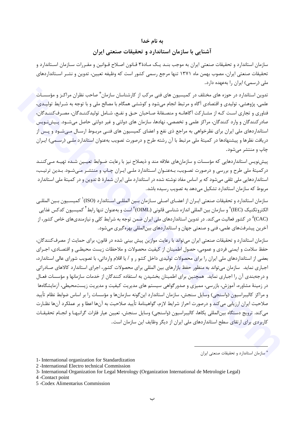### به نام خدا

### آشنایی با سازمان استاندارد و تحقیقات صنعتی ایران

سازمان استاندارد و تحقیقات صنعتی ایران به موجب بنـد یـک مـادهٔ۳ قـانون اصـلاح قـوانین و مقـررات سـازمان اسـتاندارد و تحقیقات صنعتی ایران، مصوب بهمن ماه ۱۳۷۱ تنها مرجع رسمی کشور است که وظیفه تعیین، تدوین و نشـر اسـتانداردهای ملی (رسمی) ایران را بهعهده دارد.

تدوین استاندارد در حوزه های مختلف در کمیسیون های فنی مرکب از کارشناسان سازمان ٌ صاحب نظران مراکـز و مؤسسـات علمي، پژوهشي، توليدي و اقتصادي آگاه و مرتبط انجام مي شود و كوششي همگام با مصالح ملي و با توجه به شـرايط توليـدي، فناوری و تجاری است کـه از مشـارکت آگاهانـه و منصـفانهٔ صـاحبان حـق و نفـع، شـامل تولیدکننـدگان، مصـرفکننـدگان، صادرکنندگان و وارد کنندگان، مراکز علمی و تخصصی، نهادها، سازمان های دولتی و غیر دولتی حاصل میشــود. پــیش نـویس استانداردهای ملی ایران برای نظرخواهی به مراجع ذی نفع و اعضای کمیسیون های فنــی مربـوط ارسـال مــیشـود و پــس از دریافت نظرها و پیشنهادها در کمیتهٔ ملی مرتبط با آن رشته طرح و درصورت تصویب بهعنوان استاندارد ملبی (رسـمی) ایـران چاپ و منتشر مے شود.

پیش;نویس استانداردهایی که مؤسسات و سازمانهای علاقه مند و ذیصلاح نیز با رعایت ضـوابط تعیـین شـده تهیـه مـی کننـد درکمیتهٔ ملی طرح و بررسی و درصورت تصـویب، بـهعنـوان اســتاندارد ملـی ایـران چـاپ و منتشـر مـیشـود. بـدین ترتیـب، استانداردهایی ملی تلقی میشود که بر اساس مفاد نوشته شده در استاندارد ملی ایران شمارهٔ ۵ تدوین و در کمیتهٔ ملی استاندارد مربوط که سازمان استاندارد تشکیل میدهد به تصویب رسیده باشد.

سازمان استاندارد و تحقیقات صنعتی ایـران از اعضـای اصـلی سـازمان بـین المللـی اسـتاندارد (ISO)<sup>۱</sup> کمیسـیون بـین المللـی الكتروتكنيك (IEC)<sup>۲</sup> و سازمان بين المللي اندازه شناسي قانوني (OIML) ّاست و بهعنوان تنها رابط<sup>۴</sup> كميسيون كدكس غذايي (CAC)<sup>۵</sup> در کشور فعالیت می کند. در تدوین استانداردهای ملی ایران ضمن توجه به شرایط کلی و نیازمندیهای خاص کشور، از آخرین پیشرفتهای علمی، فنی و صنعتی جهان و استانداردهای بینالمللی بهره گیری میشود.

سازمان استاندارد و تحقیقات صنعتی ایران می تواند با رعایت موازین پیش بینی شده در قانون، برای حمایت از مصرف کنندگان، حفظ سلامت و ايمني فردي و عمومي، حصول اطمينان از كيفيت محصولات و ملاحظات زيست محيطـي و اقتصـادي، اجـراي بعضی از استانداردهای ملی ایران را برای محصولات تولیدی داخل کشو ر و / یا اقلام وارداتی، با تصویب شورای عالی استاندارد، اجباری نماید. سازمان می تواند به منظور حفظ بازارهای بین المللی برای محصولات کشور، اجرای استاندارد کالاهای صـادراتی و درجهبندی آن را اجباری نماید. همچنین برای اطمینان بخشیدن به استفاده کنندگان از خدمات سازمانها و مؤسسات فعـال در زمینهٔ مشاوره، آموزش، بازرسی، ممیزی و صدور گواهی سیستم های مدیریت کیفیت و مدیریت زیستمحیطی، آزمایشگاهها و مراكز كاليبراسيون (واسنجي) وسايل سنجش، سازمان استاندارد اين گونه سازمانها و مؤسسات را بر اساس ضوابط نظام تأييد صلاحیت ایران ارزیابی میکند و درصورت احراز شرایط لازم، گواهینامهٔ تأیید صلاحیت به آنها اعطا و بر عملکرد آنها نظـا,ت می کند. ترویج دستگاه بینالمللی پکاها، کالیبراسیون (واسنجی) وسایل سنجش، تعیین عیار فلزات گرانبهـا و انجـام تحقیقـات کاربردی برای ارتقای سطح استانداردهای ملی ایران از دیگر وظایف این سازمان است.

\* سازمان استاندارد و تحقیقات صنعتی ایران

- 1- International organization for Standardization
- 2 International Electro technical Commission

3- International Organization for Legal Metrology (Organization International de Metrologie Legal)

4 -Contact point

<sup>5 -</sup>Codex Alimentarius Commission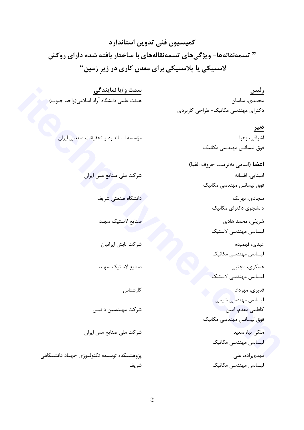كميسيون فنى تدوين استاندارد " تسمهنقالهها- ویژگیهای تسمهنقالههای با ساختار بافته شده دارای روکش لاستیکی یا پلاستیکی برای معدن کاری در زیر زمین"

سمت و/یا نمایندگی رئیس هیئت علمی دانشگاه آزاد اسلامی(واحد جنوب) محمدى، ساسان دکترای مهندسی مکانیک- طراحی کاربردی

> <u>دبير</u> اشراقى، زهرا فوق لیسانس مهندسی مکانیک **اعضا** (اسامى بهترتيب حروف الفبا) امینایی، افسانه فوق لیسانس مهندسی مکانیک سجادي، بهرنگ دانشجوی دکترای مکانیک شریفی، محمد هادی ليسانس مهندسي لاستيك عبدي، فهميده لیسانس مهندسی مکانیک عسکری، مجتبی ليسانس مهندسي لاستيك قدیری، مهرداد لیسانس مهندسی شیمی كاظمى مقدم، امين فوق لیسانس مهندسی مکانیک ملکی نیا، سعید لیسانس مهندسی مکانیک مهدی;اده، علی لیسانس مهندسی مکانیک

مؤسسه استاندارد و تحقیقات صنعتی ایران

دانشگاه صنعتی شریف صنايع لاستيك سهند

شرکت ملی صنایع مس ایران

شركت تابش ايرانيان

صنايع لاستيك سهند

كارشناس

شركت مهندسين داتيس

شرکت ملی صنایع مس ایران

پژوهشــکده توســعه تکنولــوژی جهــاد دانشــگاهی شريف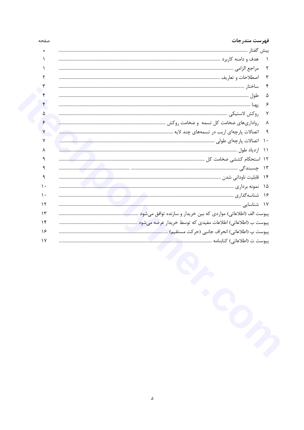| $\mathsf{r}$<br>$\mathsf{r}$<br>۴<br>۵<br>۶<br>٧<br>٨<br>ঀ |
|------------------------------------------------------------|
|                                                            |
|                                                            |
|                                                            |
|                                                            |
|                                                            |
|                                                            |
|                                                            |
|                                                            |
|                                                            |
|                                                            |
|                                                            |
|                                                            |
|                                                            |
|                                                            |
|                                                            |
|                                                            |
|                                                            |
|                                                            |
|                                                            |
|                                                            |
|                                                            |
|                                                            |
|                                                            |
|                                                            |
|                                                            |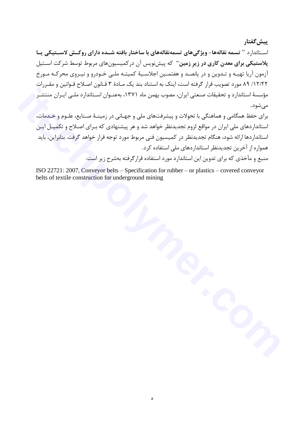يىش گفتار

اسـتاندارد " تسمه نقالهها- ویژگیهای تسمهنقالههای با ساختار بافته شــده دارای روکــش لاســتیکی پــا پلاستیکی برای معدن کاری در زیر زمین" که پیشنویس آن در کمیسیونهای مربوط توسط شرکت اسـتیل آزمون آریا تهیـه و تـدوین و در پانصـد و هفتمـین اجلاسـیهٔ کمیتـه ملـی خـودرو و نیـروی محرکـه مـورخ ١٢/٢٢/ ٨٩ مورد تصويب قرار گرفته است، اينک به استناد بند يک مـادهٔ ٣ قـانون اصـلاح قـوانين و مقـررات مؤسسهٔ استاندارد و تحقیقات صنعتی ایران، مصوب بهمن ماه ۱۳۷۱، بهعنـوان اسـتاندارد ملـی ایـران منتشـر مىشود.

برای حفظ همگامی و هماهنگی با تحولات و پیشرفتهای ملی و جهـانی در زمینـهٔ صـنایع، علـوم و خـدمات، استانداردهای ملی ایران در مواقع لزوم تجدیدنظر خواهد شد و هر پیشنهادی که بـرای اصـلاح و تکمیـل ایـن استانداردها ارائه شود، هنگام تجدیدنظر در کمیسیون فنی مربوط مورد توجه قرار خواهد گرفت. بنابراین، باید همواره از آخرین تجدیدنظر استانداردهای ملی استفاده کرد. منبع و مآخذی که برای تدوین این استاندارد مورد استفاده قرار گرفته بهشرح زیر است:

ISO 22721: 2007, Conveyor belts – Specification for rubber – or plastics – covered conveyor belts of textile construction for underground mining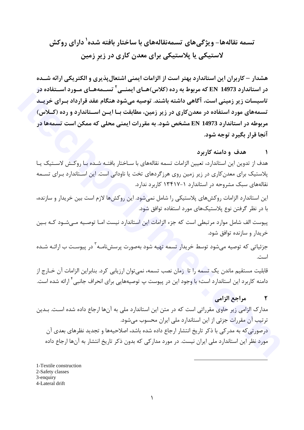# تسمه نقالهها- ویژگی های تسمهنقالههای با ساختار بافته شده<sup>۱</sup> دارای روکش لاستیکی یا پلاستیکی برای معدن کاری در زیر زمین

هشدار – کاربران این استاندارد بهتر است از الزامات ایمنی اشتعال پذیری و الکتریکی ارائه شــده در استاندارد EN 14973 که مربوط به رده (کلاس)هــای ایمنــی <sup>۲</sup> تســمههــای مــورد اســتفاده در تاسیسات زیر زمینی است، آگاهی داشته باشند. توصیه میشود هنگام عقد قرارداد بـرای خریـد تسمههای مورد استفاده در معدن کاری در زیر زمین، مطابقت بــا ایــن اســتاندارد و رده (کــلاس) مربوطه در استاندارد 14973 EN مشخص شود. به مقررات ایمنی محلی که ممکن است تسمهها در آنجا قرار بگیرد توجه شود.

#### هدف و دامنه کاربرد  $\sqrt{ }$

هدف از تدوین این استاندارد، تعیین الزامات تسمه نقالههای با سـاختار بافتـه شـده بـّا روکـش لاسـتیک یـا پلاستیک برای معدن کاری در زیر زمین روی هرزگردهای تخت یا ناودانی است. این استاندارد بـرای تســمه نقالههای سبک مشروحه در استاندارد ۱-۱۳۴۱۷ کاربرد ندارد.

این استاندارد الزامات روکشهای پلاستیکی را شامل نمی شود. این روکشها لازم است بین خریدار و سازنده، با در نظر گرفتن نوع پلاستیکهای مورد استفاده توافق شود.

پیوست الف شامل موارد مرتبطی است که جزء الزامات این استاندارد نیست امـا توصـیه مـی شـود کـه بـین خريدار و سازنده توافق شود.

جزئیاتی که توصیه میشود توسط خریدار تسمه تهیه شود بهصورت پرسشنامـه<sup>۲</sup> در پیوسـت ب ارائــه شــده است.

قابلیت مستقیم ماندن یک تسمه را تا زمان نصب تسمه، نمی توان ارزیابی کرد. بنابراین الزامات آن خــارج از دامنه کاربرد این استاندارد است؛ با وجود این در پیوست پ توصیههایی برای انحراف جانبی <sup>۴</sup> ارائه شده است.

#### مراجع الزامي  $\mathbf{r}$

مدارک الزامی زیر حاوی مقرراتی است که در متن این استاندارد ملی به آنها ارجاع داده شده است. بـدین ترتیب آن مقررات جزئی از این استاندارد ملی ایران محسوب میشود. درصورتي كه به مدر كي با ذكر تاريخ انتشار ارجاع داده شده باشد، اصلاحيهها و تجديد نظرهاي بعدي آن مورد نظر این استاندارد ملی ایران نیست. در مورد مدارکی که بدون ذکر تاریخ انتشار به آنها ارجاع داده

1-Textile construction 2-Safety classes 3-enquiry 4-Lateral drift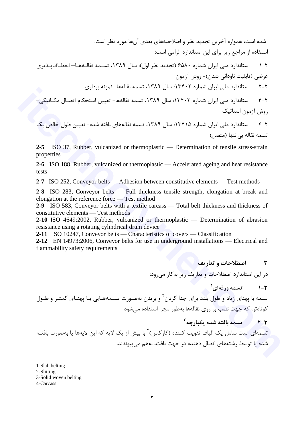شده است، همواره آخرین تجدید نظر و اصلاحیههای بعدی آنها مورد نظر است. استفاده از مراجع زیر برای این استاندارد الزامی است:

۲-۱ استاندارد ملی ایران شماره ۶۵۸۰ (تجدید نظر اول): سال ۱۳۸۹، تسـمه نقالـههـا– انعطـافیـذیری عرضی (قابلیت ناودانی شدن)- روش آزمون

۲-۲ استاندارد ملی ایران شماره ۱۳۴۰۲: سال ۱۳۸۹، تسمه نقالهها- نمونه برداری

۲-۳ استاندارد ملی ایران شماره ۱۳۴۰۳: سال ۱۳۸۹، تسمه نقالهها- تعیین استحکام اتصـال مکـانیکی-روش آزمون استاتیک

۴-۲ استاندارد ملی ایران شماره ۱۳۴۱۵: سال ۱۳۸۹، تسمه نقالههای بافته شده- تعیین طول خالص یک تسمه نقاله بي انتها (متصل)

2-5 ISO 37, Rubber, vulcanized or thermoplastic — Determination of tensile stress-strain properties

2-6 ISO 188, Rubber, vulcanized or thermoplastic — Accelerated ageing and heat resistance tests

2-7 ISO 252, Conveyor belts — Adhesion between constitutive elements — Test methods

2-8 ISO 283, Conveyor belts — Full thickness tensile strength, elongation at break and elongation at the reference force — Test method

2-9 ISO 583, Conveyor belts with a textile carcass — Total belt thickness and thickness of constitutive elements — Test methods

2-10 ISO 4649:2002, Rubber, vulcanized or thermoplastic — Determination of abrasion resistance using a rotating cylindrical drum device

2-11 ISO 10247, Conveyor belts — Characteristics of covers — Classification

2-12 EN 14973:2006, Conveyor belts for use in underground installations — Electrical and flammability safety requirements

> اصطلاحات و تعاريف  $\mathbf{r}$

در این استاندارد اصطلاحات و تعاریف زیر به کار می رود:

**۲-۱** تسمه ورقهای<sup>۱</sup>

تسمه با پهنای زیاد و طول بلند برای جدا کردن<sup>۲</sup> و بریدن بهصـورت تســمههـایی بـا پهنـای کمتـر و طــول کوتاهتر، که جهت نصب بر روی نقالهها بهطور مجزا استفاده می شود

 $r$ -۲ = سلمه بافته شده یکبارچه $r$ 

تسمهای است شامل یک الیاف تقویت کننده (کارکاس) ٔ با بیش از یک لایه که این لایهها یا بهصورت بافتـه شده یا توسط رشتههای اتصال دهنده در جهت بافت، بههم می پیوندند.

1-Slab belting 2-Slitting 3-Solid woven belting 4-Carcass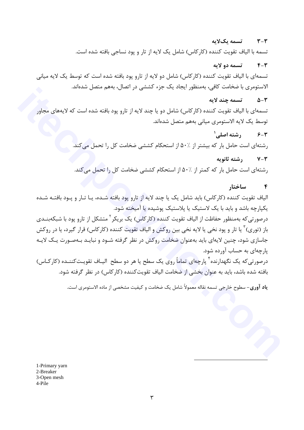#### تسمه یکلایه  $Y - Y$

تسمه با الياف تقويت كننده (كاركاس) شامل يک لايه از تار و يود نساجي بافته شده است.

#### تسمه دو لايه  $F - T$

تسمه|ی با الیاف تقویت کننده (کارکاس) شامل دو لایه از تارو پود بافته شده است که توسط یک لایه میانی الاستومري با ضخامت كافي، بهمنظور ايجاد يک جزء کششي در اتصال، بههم متصل شدهاند.

#### تسمه چند لایه  $\Delta-\mathsf{r}$

تسمه|ی با الیاف تقویت کننده (کارکاس) شامل دو یا چند لایه از تارو پود بافته شده است که لایههای مجاور توسط یک لایه الاستومری میانی بههم متصل شدهاند.

 $^{\prime}$ -۴ ج $^{\prime}$  (شته اصلی  $^{\prime}$ 

رشتهای است حامل بار که بیشتر از ۵۰٬٪ از استحکام کششی ضخامت کل را تحمل می کند.

### $V - V$  , شته ثانویه

, شتهای است حامل بار که کمتر از ∴۵۰ از استحکام کششی ضخامت کل را تحمل می کند.

#### $\mathbf{r}$ ساختار

الیاف تقویت کننده (کارکاس) باید شامل یک یا چند لایه از تارو پود بافته شـده، یـا تـار و پـود بافتـه شـده یکپارچه باشد و باید با یک لاستیک یا پلاستیک پوشیده یا آمیخته شود.

درصورتی *ک*ه بهمنظور حفاظت از الیاف تقویت کننده (کارکاس) یک بریکر<sup>۲</sup> متشکل از تارو پود با شبکهبنــدی باز (توري) ّ يا تار و پود نخي يا لايه نخي بين روكش و الياف تقويت كننده (كاركاس) قرار گيرد، يا در روكش جاسازی شود، چنین لایهای باید بهعنوان ضخامت روکش در نظر گرفته شـود و نبایـد بـهصـورت یـک لایـه یا چهای به حساب آورده شود.

درصورتی که یک نگهدارنده ٔ پارچهای تماماً روی یک سطح یا هر دو سطح الیـاف تقویـتکننـده (کارکـاس) بافته شده باشد، باید به عنوان بخشی از ضخامت الیاف تقویت کننده (کارکاس) در نظر گرفته شود.

ياد آوري- سطوح خارجي تسمه نقاله معمولاً شامل يک ضخامت و کيفيت مشخصي از ماده الاستومري است.

1-Primary yarn 2-Breaker 3-Open mesh 4-Pile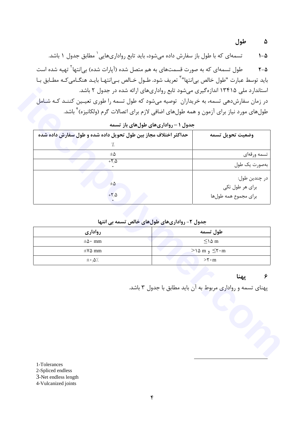تسمهای که با طول باز سفارش داده میشود، باید تابع رواداریهایی ٔ مطابق جدول ۱ باشد.  $1-\Delta$ 

طول تسمهای که به صورت قسمتهای به هم متصل شده (آیارات شده) بی|نتها<sup>۲</sup> تهیه شده است  $Y - \Delta$ بايد توسط عبارت "طول خالص بي|نتها" ؒ تعريف شود. طــول خــالص بــي|نتهـا بايــد هنگــامي كــه مطــابق بـا استاندار د ملی ۱۳۴۱۵ اندازهگیری می شود تابع رواداریهای ارائه شده در جدول ۲ باشد. در زمان سفارشدهی تسمه، به خریداران توصیه می شود که طول تسمه را طوری تعیـین کننـد کـه شـامل طولهای مورد نیاز برای آزمون و همه طولهای اضافی لازم برای اتصالات گرم (ولکانیزه)<sup>۴</sup> باشد.

| وضعيت تحويل تسمه                                         | حداکثر اختلاف مجاز بین طول تحویل داده شده و طول سفارش داده شده |
|----------------------------------------------------------|----------------------------------------------------------------|
|                                                          |                                                                |
| تسمه ورقهاي                                              | $\pm \Delta$                                                   |
| بەصورت يک طول                                            | $+T/\Delta$                                                    |
| در چندين طول:<br>برای هر طول تکی<br>براى مجموع همه طولها | $\pm \Delta$<br>$+\nabla/\Delta$                               |

حدول ( - رواداری های طول های باز تسمه

جدول ۲- رواداري هاي طول هاي خالص تسمه بي انتها

| روادارى               | طول تسمه                          |
|-----------------------|-----------------------------------|
| $\pm\Delta$ mm        | $\leq$ \ $\Delta$ m               |
| $\pm$ Y $\Delta$ mm   | $>$ ۱۵ m و ۱۵ $\leq$ ۲۰ m         |
| $\pm \cdot \Delta'$ . | $>$ $\mathsf{r} \cdot \mathsf{m}$ |

۶ يهنا

پهنای تسمه و رواداری مربوط به آن باید مطابق با جدول ۳ باشد.

1-Tolerances

2-Spliced endless

3-Net endless length

4-Vulcanized joints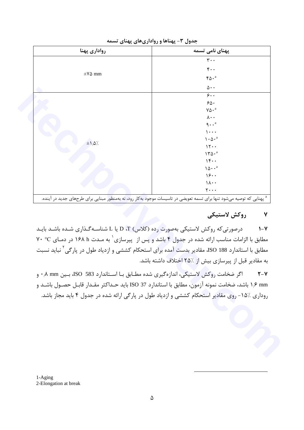| رواداري پهنا                       | پهنای نامی تسمه                                                                                            |
|------------------------------------|------------------------------------------------------------------------------------------------------------|
|                                    | $\mathbf{r} \cdot \cdot$                                                                                   |
|                                    | $\mathfrak{r}\mathfrak{}$                                                                                  |
| $\pm\mathsf{V} \mathsf{\Delta}$ mm | $\mathfrak{r}\mathfrak{d}\mathfrak{\mathfrak{e}}^{\mathfrak{a}}$                                           |
|                                    | $\Delta \cdot \cdot$                                                                                       |
|                                    | $\overline{\xi}$ .                                                                                         |
|                                    | $\mathcal{S}\Delta$ .                                                                                      |
|                                    | $\mathsf{Y}\mathsf{\Delta}\boldsymbol{\cdot}^\mathsf{a}$                                                   |
|                                    | $\lambda \cdot \cdot$                                                                                      |
|                                    | $\uparrow \cdot \cdot^{\rm a}$                                                                             |
|                                    | $\mathcal{L}$                                                                                              |
|                                    | $\ensuremath{\mathsf{I}}\xspace \cdot \ensuremath{\mathsf{I}}\xspace \cdot \ensuremath{\mathsf{I}}\xspace$ |
| $\pm \frac{\Delta}{\Delta}$ .      | 11                                                                                                         |
|                                    | $\mathcal{N} \cap \mathcal{N}$ . $^a$                                                                      |
|                                    | 14.4                                                                                                       |
|                                    | $10 \cdot \cdot$ <sup>a</sup>                                                                              |
|                                    | 19.                                                                                                        |
|                                    | $\lambda \cdot \cdot$                                                                                      |
|                                    | $\mathbf{y} \cdot \cdot \cdot$                                                                             |

جدول ۳- پهناها و رواداری های پهنای تسمه

### روكش لاستيكى ٧

درصورتی که روکش لاستیکی بهصورت رده (کلاس) D ،T یا L شناسـهگـذاری شـده باشـد بایـد  $1 - Y$ مطابق با الزامات مناسب ارائه شده در جدول ۴ باشد و پس از پیرسازی` به مـدت ۱۶۸ h در دمـای V۰ °C مطابق با استاندارد ISO 188، مقادیر بدست آمده برای استحکام کششی و ازدیاد طول در پارگی<sup>۲</sup> نباید نسبت به مقادیر قبل از پیرسازی بیش از ۲۵٪ اختلاف داشته باشد.

اگر ضخامت روكش لاستيكي، اندازهگيري شده مطـابق بـا اسـتاندارد ISO 583، بـين mm ۰٫۸ mm و  $Y-Y$ mm ۱٫۶ باشد، ضخامت نمونه آزمون، مطابق با استاندارد ISO 37 بايد حـداكثر مقـدار قابـل حصـول باشـد و روداری ٪۱۵– روی مقادیر استحکام کششی و ازدیاد طول در پارگی ارائه شده در جدول ۴ باید مجاز باشد.

1-Aging 2-Elongation at break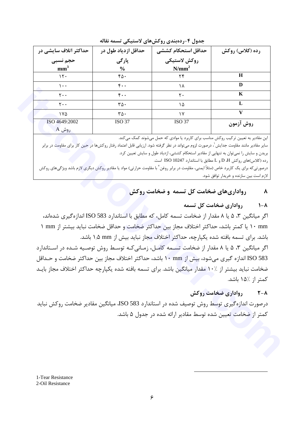| حداکثر اتلاف سایشی در       | حداقل ازدياد طول در  | حداقل استحكام كششى | رده (کلاس) روکش |
|-----------------------------|----------------------|--------------------|-----------------|
| حجم نسبى                    | پارگی                | روكش لاستيكى       |                 |
| mm <sup>3</sup>             | $\frac{6}{6}$        | $N/mm^2$           |                 |
| $\mathcal{N}$               | ۴۵۰                  | ۲۴                 | H               |
| $\cdots$                    | $\mathfrak{r}$ .     | ۱۸                 | D               |
| $Y \cdot \cdot$             | $\mathfrak{r}$ .     | $\mathsf{r}$ .     | K               |
| $\mathsf{r}\cdot\mathsf{.}$ | $\mathbf{r}\Delta$ . | ۱۵                 | L               |
| ۱۷۵                         | $\mathbf{r}\Delta$ . | ۱٧                 | v               |
| ISO 4649:2002               | <b>ISO 37</b>        | <b>ISO 37</b>      | روش آزمون       |
| $A$ روش                     |                      |                    |                 |

جدول ۴-ردهبندی روکشهای لاستیکی تسمه نقاله

این مقادیر به تعیین ترکیب روکش مناسب برای کاربرد یا موادی که حمل میشوند کمک میکند.

سایر مقادیر مانند مقاومت جدایش<sup>'</sup>، درصورت لزوم می¤واند در نظر گرفته شود. ارزیابی قابل اعتماد رفتار روکشها در حین کار برای مقاومت در برابر بریدن و سایش را نمی توان به تنهایی از مقادیر استحکام کششی، ازدیاد طول و سایش تعیین کرد.

رده (كلاس)هاي روكش D ،H و L مطابق با استاندارد ISO 10247 است.

درصورتی که برای یک کاربرد خاص (مثلاً ایمنی، مقاومت در برابر روغن<sup>۲</sup> با مقاومت حرارتی) مواد یا مقادیر روکش دیگری لازم باشد ویژگیهای روکش لازم است بین سازنده و خریدار توافق شود.

#### رواداری های ضخامت کل تسمه و ضخامت روکش  $\boldsymbol{\lambda}$

#### رواداری ضخامت کل تسمه  $\lambda - \lambda$

اگر میانگین ۳، ۵ یا ۸ مقدار از ضخامت تسمه کامل، که مطابق با استاندارد ISO 583 اندازهگیری شدهاند، ۱۰ mm یا کمتر باشد، حداکثر اختلاف مجاز بین حداکثر ضخامت و حداقل ضخامت نباید بیشتر از mm ۱ باشد. برای تسمه بافته شده یکپارچه، حداکثر اختلاف مجاز نباید بیش از nm ۱٫۵ باشد. اگر میانگین ۳، ۵ یا ۸ مقدار از ضخامت تسهه کامل، زمانی کـه توسـط روش توصـیه شـده در اسـتاندارد ISO 583 اندازه گیری می شود، بیش از mm ۱۰ باشد، حداکثر اختلاف مجاز بین حداکثر ضخامت و حــداقل ضخامت نباید بیشتر از ۱۰٪ مقدار میانگین باشد. برای تسمه بافته شده یکپارچه حداکثر اختلاف مجاز بایـد

## كمتر از ٪۱۵ باشد.

#### $\mathsf{Y}-\mathsf{A}$ رواداری ضخامت روکش

درصورت اندازه گیری توسط روش توصیف شده در استاندارد ISO 583، میانگین مقادیر ضخامت روکش نباید کمتر از ضخامت تعیین شده توسط مقادیر ارائه شده در جدول ۵ باشد.

1-Tear Resistance 2-Oil Resistance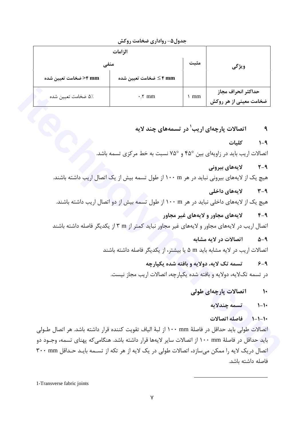|                       | - -<br>-- -<br>--         |       |                                              |
|-----------------------|---------------------------|-------|----------------------------------------------|
| منفى                  | مثىت                      | ويژگى |                                              |
| مخامت تعیین شده>>۴ mm | ۴ mm کے ضخامت تعیین شدہ ≤ |       |                                              |
| ۵٪ ضخامت تعیین شده    | $\cdot$ $\uparrow$ mm     | mm    | حداكثر انحراف مجاز<br>ضخامت معینی از هر روکش |

جدول۵- رواداری ضخامت روکش

اتصالات پارچهای اریب<sup>۱</sup> در تسمههای چند لایه  $\mathbf{a}$ 

> كلىات  $1 - 9$

اتصالات اریب باید در زاویهای بین °۴۵ و °۷۵ نسبت به خط مرکزی تسمه باشد.

لايەھاي بيرونى  $Y - 9$ 

هیچ یک از لایههای بیرونی نباید در هر ۱۰۰ m از طول تسمه بیش از یک اتصال اریب داشته باشند.

- لايەھاي داخلى  $Y - 9$ هیچ یک از لایههای داخلی نباید در هر ۱۰۰ m از طول تسمه بیش از دو اتصال اریب داشته باشند.
- لايههاي مجاور و لايههاي غير مجاور  $F - Q$ اتصال اریب در لایههای مجاور و لایههای غیر مجاور نباید کمتر از m ۳ از یکدیگر فاصله داشته باشند
	- اتصالات در لايه مشابه  $\Delta-\mathsf{q}$

اتصالات اریب در لایه مشابه باید m ۵ یا بیشتر، از یکدیگر فاصله داشته باشند

- تسمه تک لایه، دولایه و بافته شده یکیارچه  $6 - 9$ در تسمه تکلایه، دولایه و بافته شده یکپارچه، اتصالات اریب مجاز نیست.
	- اتصالات پارچەاي طولى  $\mathcal{N}$ 
		- تسمه چندلایه  $\mathcal{N} - \mathcal{N}$
		- ١٠-١-١ فاصله اتصالات

اتصالات طولي بايد حداقل در فاصلهٔ ۱۰۰ mm از لبهٔ الياف تقويت كننده قرار داشته باشد. هر اتصال طــولي بايد حداقل در فاصلهٔ ۱۰۰ mm از اتصالات ساير لايهها قرار داشته باشد. هنگامي *ك*ه پهناي تسمه، وجــود دو اتصال دریک لایه را ممکن میسازد، اتصالات طولی در یک لایه از هر تکه از تسـمه بایـد حـداقل ۳۰۰ mm فاصله داشته ىاشد.

1-Transverse fabric joints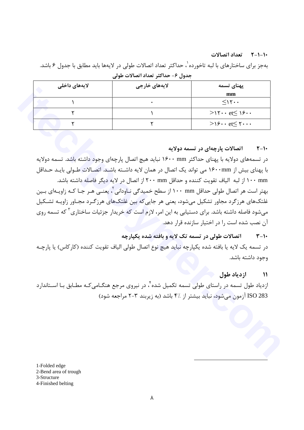### ١٠-١-٢ تعداد اتصالات

بهجز براي ساختارهاي با لبه تاخورده`، حداكثر تعداد اتصالات طولي در لايهها بايد مطابق با جدول ۶ باشد. جدول ۶- حداکثر تعداد اتصالات طولی

| لايەھاي داخلى | لايەھای خارجى | پهنای تسمه                                      |
|---------------|---------------|-------------------------------------------------|
|               |               | mm                                              |
|               |               | $\leq$                                          |
|               |               | $>15 \cdot \cdot \text{et} \leq 15 \cdot \cdot$ |
|               |               | $>$ 19 et $\leq$ $\uparrow$                     |

#### اتصالات پارچهای در تسمه دولایه  $Y-Y$

در تسمههای دولایه با پهنای حداکثر ۱۶۰۰ mm نباید هیچ اتصال پارچهای وجود داشته باشد. تسمه دولایه با پهنای بیش از ۱۶۰۰mm می تواند یک اتصال در همان لایه داشــته باشــد. اتصــالات طــولی بایــد حــداقل ۱۰۰ mm از لبه الياف تقويت كننده و حداقل ۲۰۰ mm از اتصال در لايه ديگر فاصله داشته باشد. بهتر است هر اتصال طولی حداقل n۰۰ mm از سطح خمیدگی نـاودانی ٌ، یعنـی هـر جـا کـه زاویـهای بـین غلتکهای هرزگرد مجاور تشکیل میشود، یعنی هر جاییکه بین غلتکهای هرزگـرد مجـاور زاویـه تشـکیل می شود فاصله داشته باشد. برای دستیابی به این امر، لازم است که خریدار جزئیات ساختاری<sup>۳</sup> که تسمه روی آن نصب شده است را در اختیار سازنده قرار دهد.

#### اتصالات طولی در تسمه تک لایه و بافته شده یکیارچه  $Y-Y$

در تسمه یک لایه یا بافته شده یکپارچه نباید هیچ نوع اتصال طولی الیاف تقویت کننده (کارکاس) یا پارچـه وجود داشته باشد.

#### ازدياد طول  $\sqrt{11}$

ازدیاد طول تسمه در راستای طولی تسمه تکمیل شده ٔ، در نیروی مرجع هنگـامی کـه مطـابق بـا اسـتاندارد ISO 283 آزمون می شود، نباید بیشتر از ۴٪ باشد (به زیربند ۳-۲ مراجعه شود)

1-Folded edge

- 2-Bend area of trough
- 3-Structure

<sup>4-</sup>Finished belting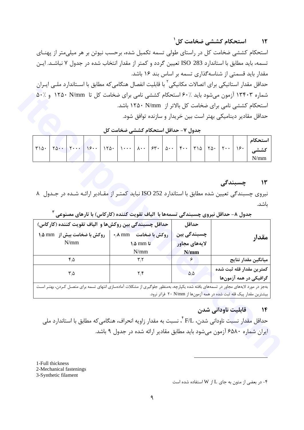نیروی چسبندگی تعیین شده مطابق با استاندارد ISO 252 نباید کمتر از مقادیر ارائـه شـده در جـدول ۸ ىاشد. جدول ۸- حداقل نیروی چسبندگی تسمهها با الیاف تقویت کننده (کارکاس) با تارهای مصنوعی <sup>۳</sup> .<br>حداقل چسبندگی بین روکشها و الیاف تقویت کننده (کارکاس) حداقل

| جدول ٧- حداقل استحكام كششى ضخامت كل |                                                                                                                                                                                                                                                                                                                                                          |  |  |  |  |  |                                                                                                                       |  |  |  |  |  |
|-------------------------------------|----------------------------------------------------------------------------------------------------------------------------------------------------------------------------------------------------------------------------------------------------------------------------------------------------------------------------------------------------------|--|--|--|--|--|-----------------------------------------------------------------------------------------------------------------------|--|--|--|--|--|
|                                     | $T\Delta \cdot \begin{bmatrix} 1 & 0 & 0 \\ 0 & 1 & 1 \end{bmatrix}$ $T\Delta \cdot \begin{bmatrix} 1 & 0 & 0 \\ 0 & 1 & 1 \end{bmatrix}$ $T\Delta \cdot \begin{bmatrix} 0 & 0 & 0 \\ 0 & 1 & 1 \end{bmatrix}$ $T\Delta \cdot \begin{bmatrix} 0 & 0 & 0 \\ 0 & 1 & 1 \end{bmatrix}$ $T\Delta \cdot \begin{bmatrix} 0 & 0 & 0 \\ 0 & 1 & 1 \end{bmatrix}$ |  |  |  |  |  | <u> La Carlo de Carlo de Carlo de Carlo de Carlo de Carlo de Carlo de Carlo de Carlo de Carlo de Carlo de Carlo d</u> |  |  |  |  |  |

استحکام کششی ضخامت کل در راستای طولی تسمه تکمیل شده، برحسب نیوتن بر هر میلیمتر از پهنـای

تسمه، باید مطابق با استاندارد ISO 283 تعیین گردد و کمتر از مقدار انتخاب شده در جدول ۷ نباشـد. ایـن

حداقل مقدار استاتیکی برای اتصالات مکانیکی<sup>۲</sup> با قابلیت انفصال هنگامیکه مطابق با اسـتاندارد ملــی ایــران

شماره ۱۳۴۰۳ آزمون می شود باید ۶۰٪ استحکام کششی نامی برای ضخامت کل تا ۱۲۵۰ N/mm و ۵۰٪

چسبندگی بین ا روكش با ضخامت A mm ۰٫۸ mm وكش با ضخامت بيش از ۱٫۵ mm ۱٫۵ مقدار  $N/mm$  $\lambda/\Delta$  mm تا لايەھاي مجاور  $N/mm$  $N/mm$ ميانگين مقدار نتايج  $f/\Delta$  $\mathbf{r}^{\prime}$ ۶ كمترين مقدار قله ثبت شده  $\mathbf{Y}/\mathbf{F}$  $\mathbf{r} \cdot \mathbf{r}$  $\Delta/\Delta$ گرافیکی در همه آزمونها بهجز در مورد لایههای مجاور در تسمههای بافته شده یکپارچه، بهمنظور جلوگیری از مشکلات آمادهسازی انتهای تسمه برای متصـل کـردن، بهتـر اسـت بیشترین مقدار پیک قله ثبت شده در همه آزمونها از ۲۰ N/mm فراتر نرود.

#### قابلیت ناودانی شدن  $\mathcal{N}$

چسبندگے،

استحکام کششے<sub>،</sub> ضخامت کل <sup>۱</sup>

مقدار باید قسمتی از شناسه گذاری تسمه بر اساس بند ۱۶ باشد.

استحکام کششی نامی برای ضخامت کل بالاتر از ۱۲۵۰ N/mm باشد.

حداقل مقادیر دینامیکی بهتر است بین خریدار و سازنده توافق شود.

 $\mathcal{N}$ 

استحكام

کششے  $N/mm$ 

 $\mathcal{N}$ 

حداقل مقدار نسبت ناودانی شدن، F/L <sup>۴</sup>، نسبت به مقدار زاویه انحراف، هنگامی *ک*ه مطابق با استاندارد ملی ایران شماره ۶۵۸۰ آزمون می شود باید مطابق مقادیر ارائه شده در جدول ۹ باشد.

1-Full thickness

 $T10.$ 

2-Mechanical fastenings

3-Synthetic filament

- در بعضی از متون به جای L از W استفاده شده است $\bullet$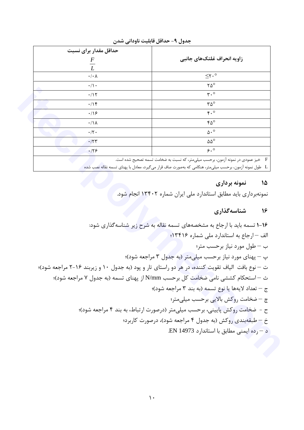| حداقل مقدار براي نسبت<br>$\boldsymbol{F}$<br>$\overline{L}$ | زاويه انحراف غلتكهاي جانبي                                                                    |
|-------------------------------------------------------------|-----------------------------------------------------------------------------------------------|
| $\cdot/\cdot \wedge$                                        | $\leq$ ۲.º                                                                                    |
|                                                             |                                                                                               |
| $\cdot/\cdot$                                               | $\mathsf{Y}\Delta^\circ$                                                                      |
| .715                                                        | $\mathbf{r} \cdot \mathbf{0}$                                                                 |
| .19                                                         | $\mathsf{r}\Delta^\circ$                                                                      |
| $\cdot$ /16                                                 | r.                                                                                            |
| $\cdot/\Lambda$                                             | $\mathfrak{r}\mathfrak{a}^{\circ}$                                                            |
| $\cdot/\Upsilon$ .                                          | $\Delta \cdot$ <sup>o</sup>                                                                   |
| .777                                                        | $\Delta\Delta^{\circ}$                                                                        |
| .179                                                        | 9.0                                                                                           |
|                                                             | $\mathbf{F}$<br>خیز عمودی در نمونه آزمون، برحسب میلیمتر، که نسبت به ضخامت تسمه تصحیح شده است. |

جدول ٩- حداقل قابليت ناوداني شدن

ـ L طول نمونه آزمون، برحسب میلیمتر، هنگامی که بهصورت صاف قرار میگیرد، معادل با پهنای تسمه نقاله نصب شده مستنس

## ۱۵ نمونه برداری

نمونهبرداری باید مطابق استاندارد ملی ایران شماره ۱۳۴۰۲ انجام شود.

## ۱۶ شناسهگذاری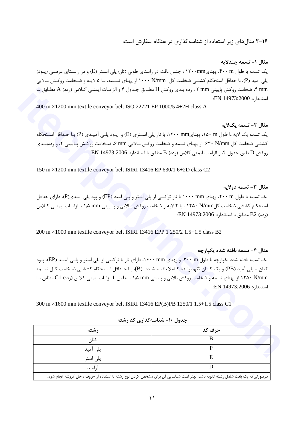۲-۱۶ مثال های زیر استفاده از شناسه گذاری در هنگام سفارش است:

مثال ١- تسمه چندلایه یک تسمه با طول ۴۰۰ m، پهنای۱۲۰۰mm ، جنس بافت در راستای طولی (تار) پلی اسـتر (E) و در راسـتای عرضـی (پـود) يلي آميد (P)، با حداقل استحكام كششي ضخامت كل ۱۰۰۰ N/mm از يهناي تســمه، بـا ۵ لايـه و ضـخامت روكـش بـالايي mm ۴، ضخامت روكش پاييني mm ۲ ، رده بندي روكش H مطـابق جـدول ۴ و الزامـات ايمنــي كـلاس (رده) A مطـابق بـا استاندا, د EN 14973:2000:

400 m  $\times$ 1200 mm textile conveyor belt ISO 22721 EP 1000/5 4+2H class A

مثال ٢- تسمه یکلایه یک تسمه یک لایه با طول n۵۰ m، پهنای۱۲۰۰ mm، با تار پلی اسـتری (E) و پـود پلـی آمیـدی (P) بـا حـداقل اسـتحکام کششی ضخامت کل ۴۰ N/mm از پهنای تسمه و ضخامت روکش بـالایی mm ۶، ضـخامت روکـش پـایینی ۲، و ردهبنـدی  $\rm EN$  14973:2006 ، و الزامات ايمنى كلاس (رده) B مطابق با استاندارد 2006:14973:2006.

150 m × 1200 mm textile conveyor belt ISIRI 13416 EP 630/1 6+2D class C2

### مثال ٣- تسمه دولايه

یک تسمه با طول ۲۰۰ mm، پهنای ۱۰۰۰ mm با تار ترکیبی از پلی استر و پلی آمید (EP) و پود پلی آمیدی(P)، دارای حداقل استحکام کششی ضخامت کلN/mm ، با ۲ لایه و ضخامت روکش بـالایی و پـایینی mm ۱٫۵ mm الزامـات ایمنــی کــلاس (رده) B2 مطابق با استاندارد EN 14973:2006:

 $200 \text{ m} \times 1000 \text{ mm}$  textile conveyor belt ISIRI 13416 EPP 1 250/2 1.5+1.5 class B2

### مثال ۴– تسمه بافته شده یکیارچه

یک تسمه بافته شده یکپارچه با طول ۳۰۰ m، و پهنای ۱۶۰۰ mm، دارای تار با ترکیبی از پلی استر و پلـی آمیـد (EP)، پـود كتان - پلي آميد (PB) و يک کتـان نگهدارنـده کـاملا بافتـه شـده (B)، بـا حـداقل اسـتحکام کششـي ضـخامت کـل تسـمه ۱۲۵۰ N/mm از پهنای تسمه و ضخامت روکش بالایی و پایینی mm ۱٫۵ mm مطابق با الزامات ایمنی کلاس (رده) C1 مطابق بـا استاندا<sub>د</sub>د EN 14973:2006:

300 m × 1600 mm textile conveyor belt ISIRI 13416 EP(B)PB 1250/1 1.5+1.5 class C1

|                                                                                                                               | ---    |  |  |
|-------------------------------------------------------------------------------------------------------------------------------|--------|--|--|
| , شته                                                                                                                         | حرف کد |  |  |
| کتان                                                                                                                          |        |  |  |
| پلی آمید                                                                                                                      |        |  |  |
| پلی استر                                                                                                                      |        |  |  |
| آر امید                                                                                                                       |        |  |  |
| درصورتیکه یک بافت شامل رشته ثانویه باشد، بهتر است شناسایی آن برای مشخص کردن نوع رشته با استفاده از حروف داخل کروشه انجام شود. |        |  |  |

حدول ۱۰- شناسه گذاری کد رشته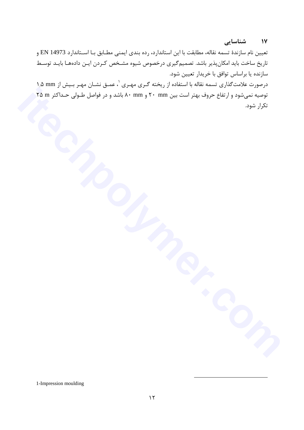#### شناسایی  $\sqrt{11}$

تعيين نام سازندهٔ تسمه نقاله، مطابقت با اين استاندارد، رده بندي ايمني مطـابق بـا اسـتاندارد 14973 EN و تاریخ ساخت باید امکانپذیر باشد. تصمیمگیری درخصوص شیوه مشـخص کـردن ایـن دادههـا بایـد توسـط سازنده یا براساس توافق با خریدار تعیین شود.

درصورت علامت گذاری تسمه نقاله با استفاده از ریخته گـری مهـری <sup>۱</sup>، عمـق نشـان مهـر بـیش از mm ۱٫۵ توصیه نمیشود و ارتفاع حروف بهتر است بین mm ۲۰ و ۸۰ mm باشد و در فواصل طـولی حـداکثر ۲۵ ۲۵ تكرار شود.

1-Impression moulding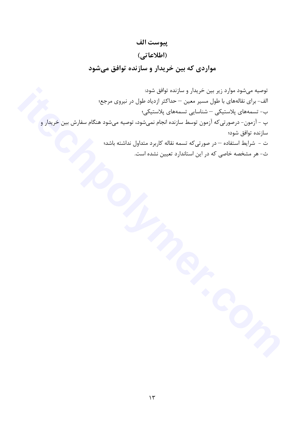توصیه میشود موارد زیر بین خریدار و سازنده توافق شود: الف- برای نقالههای با طول مسیر معین – حداکثر ازدیاد طول در نیروی مرجع؛ ب- تسمەھای پلاستیکی — شناسایی تسمەھای پلاستیکی؛ پ – آزمون- درصورتی که آزمون توسط سازنده انجام نمیشود، توصیه میشود هنگام سفارش بین خریدار و سازنده توافق شود؛ ت – شرایط استفاده — در صورتیکه تسمه نقاله کاربرد متداول نداشته باشد؛ ث- هر مشخصه خاصی که در این استاندارد تعیین نشده است.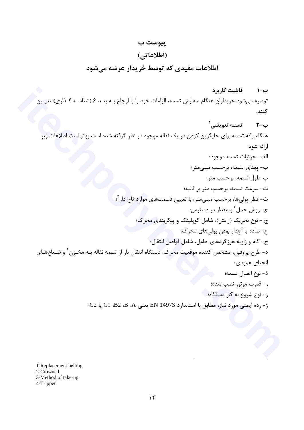### پيوست ب

### (اطلاعاتی)

### اطلاعات مفيدي كه توسط خريدار عرضه مي شود

ب–۱ قابلیت کاربرد توصیه میشود خریداران هنگام سفارش تسمه، الزامات خود را با ارجاع بـه بنـد ۶ (شناسـه گـذاری) تعیـین كنند.

ب-٢ - تسمه تعويضي' هنگامی که تسمه برای جایگزین کردن در یک نقاله موجود در نظر گرفته شده است بهتر است اطلاعات زیر ارائه شود: الف- جزئيات تسمه موجود؛ ب- پهنای تسمه، برحسب میلی متر؛ پ-طول تسمه، برحسب متر؛ ت- سرعت تسمه، برحسب متر بر ثانيه؛ ث- قطر پولی ها، برحسب میلی متر، با تعیین قسمتهای موارد تاج دار <sup>؟</sup>؛ ج- روش حمل <sup>۳</sup> و مقدار در دسترس؛ چ - نوع تحریک (رانش)، شامل کوپلینک و پیکربندی محرک؛ ح- ساده يا آجدار بودن پولې های محر ک؛ خ- گام و زاویه هرزگردهای حامل، شامل فواصل انتقال؛ د- طرح پروفیل، مشخص کننده موقعیت محرک، دستگاه انتقال بار از تسمه نقاله بـه مخـزن ٔ و شـعاعهـای انحناي عمودي؛ ذ- نوع اتصال تسمه؛ 5 - قدرت موتور نصب شده؛ ز- نوع شروع به کار دستگاه؛ ژ- رده ايمني مورد نياز، مطابق با استاندارد EN 14973 يعني C1 ،B2 ،B ،A يا C2):

1-Replacement belting 2-Crowned 3-Method of take-up 4-Tripper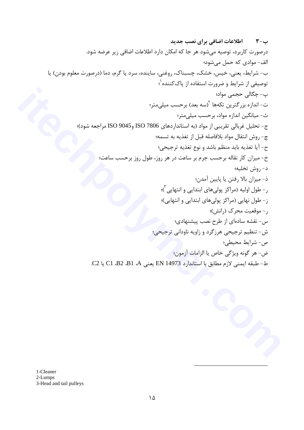$1$ -Cleaner 2-Lumps 3-Head and tail pulleys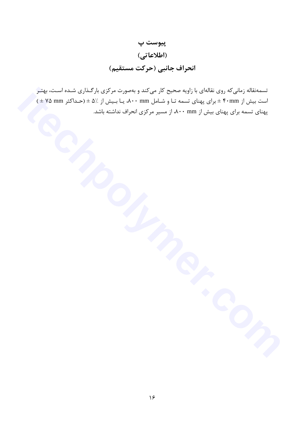## پيوست پ (اطلاعاتی) انحراف جانبي (حركت مستقيم)

تسمهنقاله زمانی که روی نقالهای با زاویه صحیح کار میکند و بهصورت مرکزی بارگـذاری شـده اسـت، بهتـر است بیش از ۴۰mm ± برای پهنای تسمه تـا و شـامل ۸۰۰ mm، یـا بـیش از ۵٪ ± (حـداکثر ۷۵ mm \*) پهنای تسمه برای پهنای بیش از ۸۰۰ mm، از مسیر مرکزی انحراف نداشته باشد.